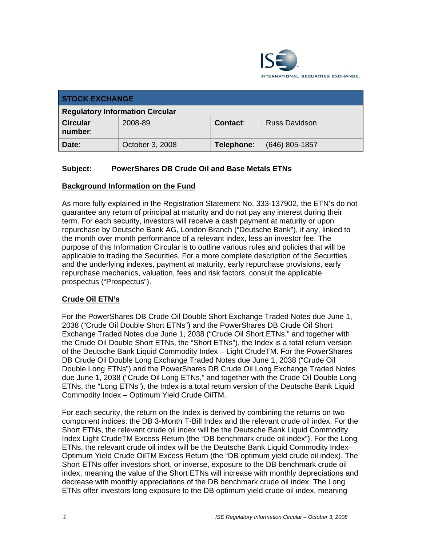

| <b>STOCK EXCHANGE</b>                  |                 |            |                      |  |
|----------------------------------------|-----------------|------------|----------------------|--|
| <b>Regulatory Information Circular</b> |                 |            |                      |  |
| <b>Circular</b><br>number:             | 2008-89         | Contact:   | <b>Russ Davidson</b> |  |
| Date:                                  | October 3, 2008 | Telephone: | $(646)$ 805-1857     |  |

# **Subject: PowerShares DB Crude Oil and Base Metals ETNs**

#### **Background Information on the Fund**

As more fully explained in the Registration Statement No. 333-137902, the ETN's do not guarantee any return of principal at maturity and do not pay any interest during their term. For each security, investors will receive a cash payment at maturity or upon repurchase by Deutsche Bank AG, London Branch ("Deutsche Bank"), if any, linked to the month over month performance of a relevant index, less an investor fee. The purpose of this Information Circular is to outline various rules and policies that will be applicable to trading the Securities. For a more complete description of the Securities and the underlying indexes, payment at maturity, early repurchase provisions, early repurchase mechanics, valuation, fees and risk factors, consult the applicable prospectus ("Prospectus").

## **Crude Oil ETN's**

For the PowerShares DB Crude Oil Double Short Exchange Traded Notes due June 1, 2038 ("Crude Oil Double Short ETNs") and the PowerShares DB Crude Oil Short Exchange Traded Notes due June 1, 2038 ("Crude Oil Short ETNs," and together with the Crude Oil Double Short ETNs, the "Short ETNs"), the Index is a total return version of the Deutsche Bank Liquid Commodity Index – Light CrudeTM. For the PowerShares DB Crude Oil Double Long Exchange Traded Notes due June 1, 2038 ("Crude Oil Double Long ETNs") and the PowerShares DB Crude Oil Long Exchange Traded Notes due June 1, 2038 ("Crude Oil Long ETNs," and together with the Crude Oil Double Long ETNs, the "Long ETNs"), the Index is a total return version of the Deutsche Bank Liquid Commodity Index – Optimum Yield Crude OilTM.

For each security, the return on the Index is derived by combining the returns on two component indices: the DB 3-Month T-Bill Index and the relevant crude oil index. For the Short ETNs, the relevant crude oil index will be the Deutsche Bank Liquid Commodity Index Light CrudeTM Excess Return (the "DB benchmark crude oil index"). For the Long ETNs, the relevant crude oil index will be the Deutsche Bank Liquid Commodity Index– Optimum Yield Crude OilTM Excess Return (the "DB optimum yield crude oil index). The Short ETNs offer investors short, or inverse, exposure to the DB benchmark crude oil index, meaning the value of the Short ETNs will increase with monthly depreciations and decrease with monthly appreciations of the DB benchmark crude oil index. The Long ETNs offer investors long exposure to the DB optimum yield crude oil index, meaning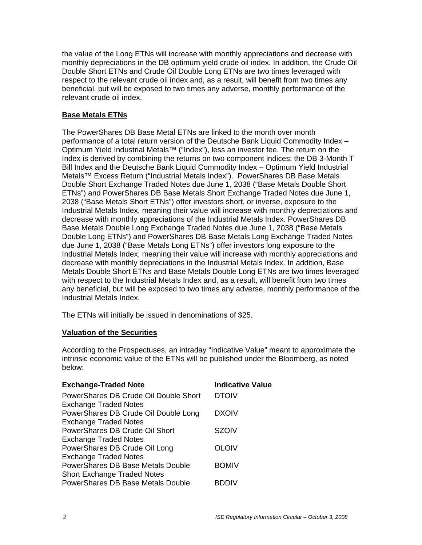the value of the Long ETNs will increase with monthly appreciations and decrease with monthly depreciations in the DB optimum yield crude oil index. In addition, the Crude Oil Double Short ETNs and Crude Oil Double Long ETNs are two times leveraged with respect to the relevant crude oil index and, as a result, will benefit from two times any beneficial, but will be exposed to two times any adverse, monthly performance of the relevant crude oil index.

## **Base Metals ETNs**

The PowerShares DB Base Metal ETNs are linked to the month over month performance of a total return version of the Deutsche Bank Liquid Commodity Index – Optimum Yield Industrial Metals™ ("Index"), less an investor fee. The return on the Index is derived by combining the returns on two component indices: the DB 3-Month T Bill Index and the Deutsche Bank Liquid Commodity Index – Optimum Yield Industrial Metals™ Excess Return ("Industrial Metals Index"). PowerShares DB Base Metals Double Short Exchange Traded Notes due June 1, 2038 ("Base Metals Double Short ETNs") and PowerShares DB Base Metals Short Exchange Traded Notes due June 1, 2038 ("Base Metals Short ETNs") offer investors short, or inverse, exposure to the Industrial Metals Index, meaning their value will increase with monthly depreciations and decrease with monthly appreciations of the Industrial Metals Index. PowerShares DB Base Metals Double Long Exchange Traded Notes due June 1, 2038 ("Base Metals Double Long ETNs") and PowerShares DB Base Metals Long Exchange Traded Notes due June 1, 2038 ("Base Metals Long ETNs") offer investors long exposure to the Industrial Metals Index, meaning their value will increase with monthly appreciations and decrease with monthly depreciations in the Industrial Metals Index. In addition, Base Metals Double Short ETNs and Base Metals Double Long ETNs are two times leveraged with respect to the Industrial Metals Index and, as a result, will benefit from two times any beneficial, but will be exposed to two times any adverse, monthly performance of the Industrial Metals Index.

The ETNs will initially be issued in denominations of \$25.

## **Valuation of the Securities**

According to the Prospectuses, an intraday "Indicative Value" meant to approximate the intrinsic economic value of the ETNs will be published under the Bloomberg, as noted below:

| <b>Exchange-Traded Note</b>                                             | <b>Indicative Value</b> |
|-------------------------------------------------------------------------|-------------------------|
| PowerShares DB Crude Oil Double Short<br><b>Exchange Traded Notes</b>   | <b>DTOIV</b>            |
| PowerShares DB Crude Oil Double Long                                    | <b>DXOIV</b>            |
| <b>Exchange Traded Notes</b><br>PowerShares DB Crude Oil Short          | <b>SZOIV</b>            |
| <b>Exchange Traded Notes</b><br>PowerShares DB Crude Oil Long           | <b>OLOIV</b>            |
| <b>Exchange Traded Notes</b><br>PowerShares DB Base Metals Double       | <b>BOMIV</b>            |
| <b>Short Exchange Traded Notes</b><br>PowerShares DB Base Metals Double | BDDIV                   |
|                                                                         |                         |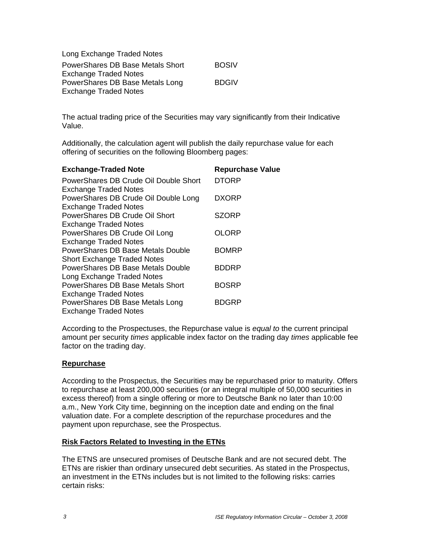| Long Exchange Traded Notes       |              |
|----------------------------------|--------------|
| PowerShares DB Base Metals Short | <b>BOSIV</b> |
| <b>Exchange Traded Notes</b>     |              |
| PowerShares DB Base Metals Long  | <b>BDGIV</b> |
| <b>Exchange Traded Notes</b>     |              |

The actual trading price of the Securities may vary significantly from their Indicative Value.

Additionally, the calculation agent will publish the daily repurchase value for each offering of securities on the following Bloomberg pages:

| <b>Exchange-Traded Note</b>                                             | <b>Repurchase Value</b> |
|-------------------------------------------------------------------------|-------------------------|
| PowerShares DB Crude Oil Double Short<br><b>Exchange Traded Notes</b>   | <b>DTORP</b>            |
| PowerShares DB Crude Oil Double Long<br><b>Exchange Traded Notes</b>    | <b>DXORP</b>            |
| PowerShares DB Crude Oil Short<br><b>Exchange Traded Notes</b>          | <b>SZORP</b>            |
| PowerShares DB Crude Oil Long                                           | OLORP                   |
| <b>Exchange Traded Notes</b><br>PowerShares DB Base Metals Double       | <b>BOMRP</b>            |
| <b>Short Exchange Traded Notes</b><br>PowerShares DB Base Metals Double | BDDRP                   |
| Long Exchange Traded Notes<br>PowerShares DB Base Metals Short          | <b>BOSRP</b>            |
| <b>Exchange Traded Notes</b><br>PowerShares DB Base Metals Long         | <b>BDGRP</b>            |
| <b>Exchange Traded Notes</b>                                            |                         |

According to the Prospectuses, the Repurchase value is *equal to* the current principal amount per security *times* applicable index factor on the trading day *times* applicable fee factor on the trading day.

#### **Repurchase**

According to the Prospectus, the Securities may be repurchased prior to maturity. Offers to repurchase at least 200,000 securities (or an integral multiple of 50,000 securities in excess thereof) from a single offering or more to Deutsche Bank no later than 10:00 a.m., New York City time, beginning on the inception date and ending on the final valuation date. For a complete description of the repurchase procedures and the payment upon repurchase, see the Prospectus.

#### **Risk Factors Related to Investing in the ETNs**

The ETNS are unsecured promises of Deutsche Bank and are not secured debt. The ETNs are riskier than ordinary unsecured debt securities. As stated in the Prospectus, an investment in the ETNs includes but is not limited to the following risks: carries certain risks: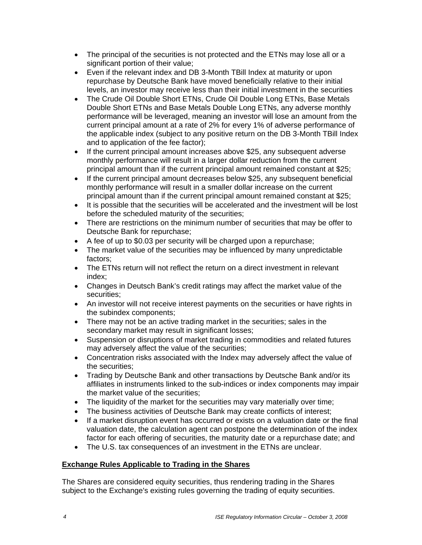- The principal of the securities is not protected and the ETNs may lose all or a significant portion of their value;
- Even if the relevant index and DB 3-Month TBill Index at maturity or upon repurchase by Deutsche Bank have moved beneficially relative to their initial levels, an investor may receive less than their initial investment in the securities
- The Crude Oil Double Short ETNs, Crude Oil Double Long ETNs, Base Metals Double Short ETNs and Base Metals Double Long ETNs, any adverse monthly performance will be leveraged, meaning an investor will lose an amount from the current principal amount at a rate of 2% for every 1% of adverse performance of the applicable index (subject to any positive return on the DB 3-Month TBill Index and to application of the fee factor);
- If the current principal amount increases above \$25, any subsequent adverse monthly performance will result in a larger dollar reduction from the current principal amount than if the current principal amount remained constant at \$25;
- If the current principal amount decreases below \$25, any subsequent beneficial monthly performance will result in a smaller dollar increase on the current principal amount than if the current principal amount remained constant at \$25;
- It is possible that the securities will be accelerated and the investment will be lost before the scheduled maturity of the securities;
- There are restrictions on the minimum number of securities that may be offer to Deutsche Bank for repurchase;
- A fee of up to \$0.03 per security will be charged upon a repurchase;
- The market value of the securities may be influenced by many unpredictable factors;
- The ETNs return will not reflect the return on a direct investment in relevant index;
- Changes in Deutsch Bank's credit ratings may affect the market value of the securities;
- An investor will not receive interest payments on the securities or have rights in the subindex components;
- There may not be an active trading market in the securities; sales in the secondary market may result in significant losses;
- Suspension or disruptions of market trading in commodities and related futures may adversely affect the value of the securities;
- Concentration risks associated with the Index may adversely affect the value of the securities;
- Trading by Deutsche Bank and other transactions by Deutsche Bank and/or its affiliates in instruments linked to the sub-indices or index components may impair the market value of the securities;
- The liquidity of the market for the securities may vary materially over time;
- The business activities of Deutsche Bank may create conflicts of interest;
- If a market disruption event has occurred or exists on a valuation date or the final valuation date, the calculation agent can postpone the determination of the index factor for each offering of securities, the maturity date or a repurchase date; and
- The U.S. tax consequences of an investment in the ETNs are unclear.

## **Exchange Rules Applicable to Trading in the Shares**

The Shares are considered equity securities, thus rendering trading in the Shares subject to the Exchange's existing rules governing the trading of equity securities.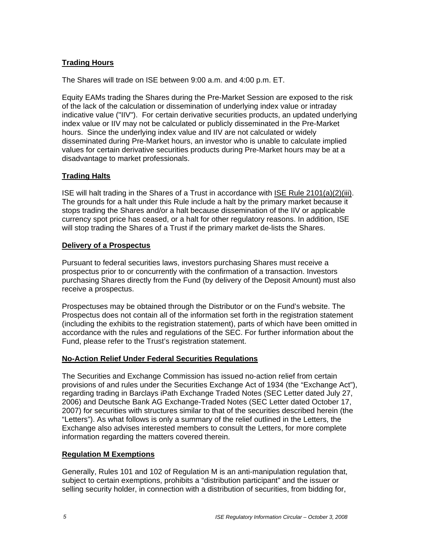## **Trading Hours**

The Shares will trade on ISE between 9:00 a.m. and 4:00 p.m. ET.

Equity EAMs trading the Shares during the Pre-Market Session are exposed to the risk of the lack of the calculation or dissemination of underlying index value or intraday indicative value ("IIV"). For certain derivative securities products, an updated underlying index value or IIV may not be calculated or publicly disseminated in the Pre-Market hours. Since the underlying index value and IIV are not calculated or widely disseminated during Pre-Market hours, an investor who is unable to calculate implied values for certain derivative securities products during Pre-Market hours may be at a disadvantage to market professionals.

## **Trading Halts**

ISE will halt trading in the Shares of a Trust in accordance with ISE Rule 2101(a)(2)(iii). The grounds for a halt under this Rule include a halt by the primary market because it stops trading the Shares and/or a halt because dissemination of the IIV or applicable currency spot price has ceased, or a halt for other regulatory reasons. In addition, ISE will stop trading the Shares of a Trust if the primary market de-lists the Shares.

## **Delivery of a Prospectus**

Pursuant to federal securities laws, investors purchasing Shares must receive a prospectus prior to or concurrently with the confirmation of a transaction. Investors purchasing Shares directly from the Fund (by delivery of the Deposit Amount) must also receive a prospectus.

Prospectuses may be obtained through the Distributor or on the Fund's website. The Prospectus does not contain all of the information set forth in the registration statement (including the exhibits to the registration statement), parts of which have been omitted in accordance with the rules and regulations of the SEC. For further information about the Fund, please refer to the Trust's registration statement.

## **No-Action Relief Under Federal Securities Regulations**

The Securities and Exchange Commission has issued no-action relief from certain provisions of and rules under the Securities Exchange Act of 1934 (the "Exchange Act"), regarding trading in Barclays iPath Exchange Traded Notes (SEC Letter dated July 27, 2006) and Deutsche Bank AG Exchange-Traded Notes (SEC Letter dated October 17, 2007) for securities with structures similar to that of the securities described herein (the "Letters"). As what follows is only a summary of the relief outlined in the Letters, the Exchange also advises interested members to consult the Letters, for more complete information regarding the matters covered therein.

## **Regulation M Exemptions**

Generally, Rules 101 and 102 of Regulation M is an anti-manipulation regulation that, subject to certain exemptions, prohibits a "distribution participant" and the issuer or selling security holder, in connection with a distribution of securities, from bidding for,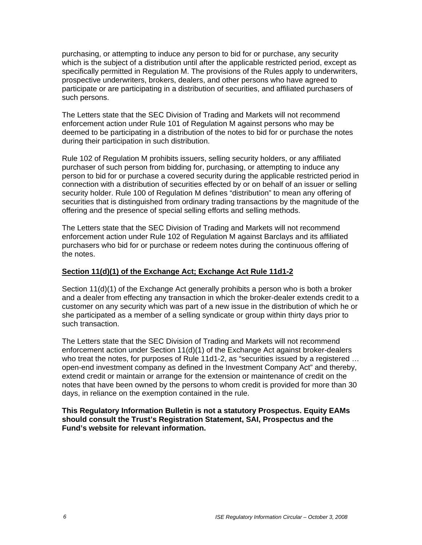purchasing, or attempting to induce any person to bid for or purchase, any security which is the subject of a distribution until after the applicable restricted period, except as specifically permitted in Regulation M. The provisions of the Rules apply to underwriters, prospective underwriters, brokers, dealers, and other persons who have agreed to participate or are participating in a distribution of securities, and affiliated purchasers of such persons.

The Letters state that the SEC Division of Trading and Markets will not recommend enforcement action under Rule 101 of Regulation M against persons who may be deemed to be participating in a distribution of the notes to bid for or purchase the notes during their participation in such distribution.

Rule 102 of Regulation M prohibits issuers, selling security holders, or any affiliated purchaser of such person from bidding for, purchasing, or attempting to induce any person to bid for or purchase a covered security during the applicable restricted period in connection with a distribution of securities effected by or on behalf of an issuer or selling security holder. Rule 100 of Regulation M defines "distribution" to mean any offering of securities that is distinguished from ordinary trading transactions by the magnitude of the offering and the presence of special selling efforts and selling methods.

The Letters state that the SEC Division of Trading and Markets will not recommend enforcement action under Rule 102 of Regulation M against Barclays and its affiliated purchasers who bid for or purchase or redeem notes during the continuous offering of the notes.

## **Section 11(d)(1) of the Exchange Act; Exchange Act Rule 11d1-2**

Section 11(d)(1) of the Exchange Act generally prohibits a person who is both a broker and a dealer from effecting any transaction in which the broker-dealer extends credit to a customer on any security which was part of a new issue in the distribution of which he or she participated as a member of a selling syndicate or group within thirty days prior to such transaction.

The Letters state that the SEC Division of Trading and Markets will not recommend enforcement action under Section 11(d)(1) of the Exchange Act against broker-dealers who treat the notes, for purposes of Rule 11d1-2, as "securities issued by a registered … open-end investment company as defined in the Investment Company Act" and thereby, extend credit or maintain or arrange for the extension or maintenance of credit on the notes that have been owned by the persons to whom credit is provided for more than 30 days, in reliance on the exemption contained in the rule.

**This Regulatory Information Bulletin is not a statutory Prospectus. Equity EAMs should consult the Trust's Registration Statement, SAI, Prospectus and the Fund's website for relevant information.**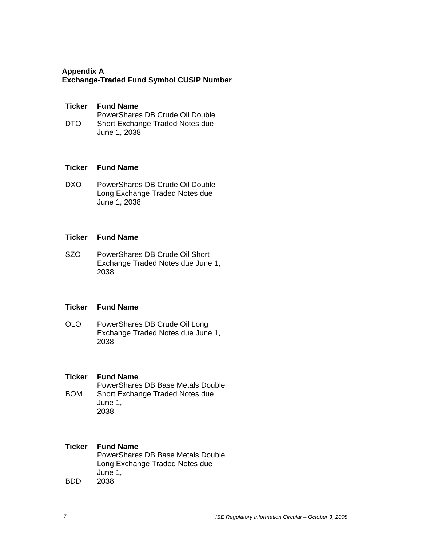## **Appendix A Exchange-Traded Fund Symbol CUSIP Number**

## **Ticker Fund Name**

DTO PowerShares DB Crude Oil Double Short Exchange Traded Notes due

June 1, 2038

## **Ticker Fund Name**

DXO PowerShares DB Crude Oil Double Long Exchange Traded Notes due June 1, 2038

## **Ticker Fund Name**

SZO PowerShares DB Crude Oil Short Exchange Traded Notes due June 1, 2038

## **Ticker Fund Name**

- OLO PowerShares DB Crude Oil Long Exchange Traded Notes due June 1, 2038
- **Ticker Fund Name**  BOM PowerShares DB Base Metals Double Short Exchange Traded Notes due June 1, 2038

# **Ticker Fund Name**

BDD PowerShares DB Base Metals Double Long Exchange Traded Notes due June 1, 2038